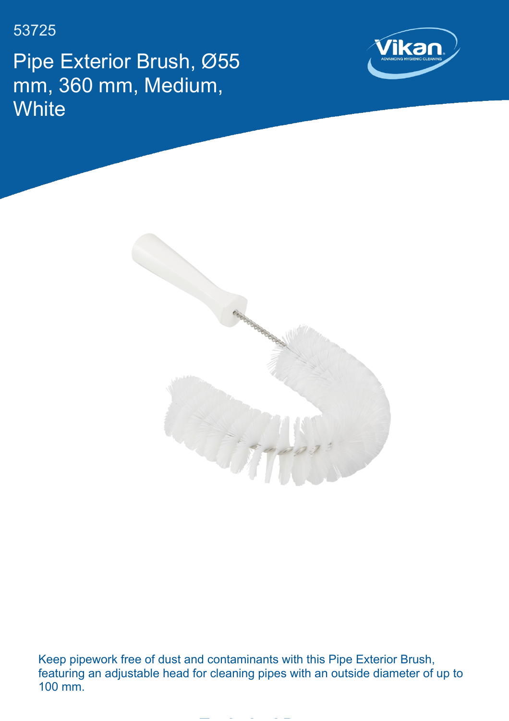53725

Pipe Exterior Brush, Ø55 mm, 360 mm, Medium, **White** 





Keep pipework free of dust and contaminants with this Pipe Exterior Brush, featuring an adjustable head for cleaning pipes with an outside diameter of up to 100 mm.

**Technical Data**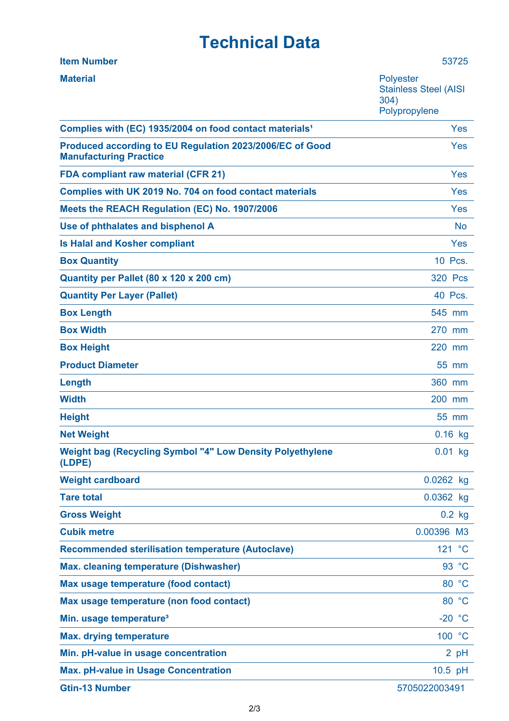## **Technical Data**

| <b>Item Number</b>                                                                        | 53725                                                                     |
|-------------------------------------------------------------------------------------------|---------------------------------------------------------------------------|
| <b>Material</b>                                                                           | <b>Polyester</b><br><b>Stainless Steel (AISI</b><br>304)<br>Polypropylene |
| Complies with (EC) 1935/2004 on food contact materials <sup>1</sup>                       | Yes                                                                       |
| Produced according to EU Regulation 2023/2006/EC of Good<br><b>Manufacturing Practice</b> | Yes                                                                       |
| <b>FDA compliant raw material (CFR 21)</b>                                                | Yes                                                                       |
| Complies with UK 2019 No. 704 on food contact materials                                   | Yes                                                                       |
| Meets the REACH Regulation (EC) No. 1907/2006                                             | Yes                                                                       |
| Use of phthalates and bisphenol A                                                         | <b>No</b>                                                                 |
| <b>Is Halal and Kosher compliant</b>                                                      | Yes                                                                       |
| <b>Box Quantity</b>                                                                       | 10 Pcs.                                                                   |
| Quantity per Pallet (80 x 120 x 200 cm)                                                   | <b>320 Pcs</b>                                                            |
| <b>Quantity Per Layer (Pallet)</b>                                                        | 40 Pcs.                                                                   |
| <b>Box Length</b>                                                                         | 545 mm                                                                    |
| <b>Box Width</b>                                                                          | 270 mm                                                                    |
| <b>Box Height</b>                                                                         | 220 mm                                                                    |
| <b>Product Diameter</b>                                                                   | 55 mm                                                                     |
| Length                                                                                    | 360 mm                                                                    |
| <b>Width</b>                                                                              | 200 mm                                                                    |
| <b>Height</b>                                                                             | 55 mm                                                                     |
| <b>Net Weight</b>                                                                         | $0.16$ kg                                                                 |
| <b>Weight bag (Recycling Symbol "4" Low Density Polyethylene</b><br>(LDPE)                | $0.01$ kg                                                                 |
| <b>Weight cardboard</b>                                                                   | $0.0262$ kg                                                               |
| <b>Tare total</b>                                                                         | 0.0362 kg                                                                 |
| <b>Gross Weight</b>                                                                       | $0.2$ kg                                                                  |
| <b>Cubik metre</b>                                                                        | 0.00396 M3                                                                |
| <b>Recommended sterilisation temperature (Autoclave)</b>                                  | 121 °C                                                                    |
| <b>Max. cleaning temperature (Dishwasher)</b>                                             | 93 °C                                                                     |
| Max usage temperature (food contact)                                                      | 80 °C                                                                     |
| Max usage temperature (non food contact)                                                  | 80 °C                                                                     |
| Min. usage temperature <sup>3</sup>                                                       | $-20 °C$                                                                  |
| <b>Max. drying temperature</b>                                                            | 100 °C                                                                    |
| Min. pH-value in usage concentration                                                      | 2 pH                                                                      |
| <b>Max. pH-value in Usage Concentration</b>                                               | $10.5$ pH                                                                 |
| <b>Gtin-13 Number</b>                                                                     | 5705022003491                                                             |